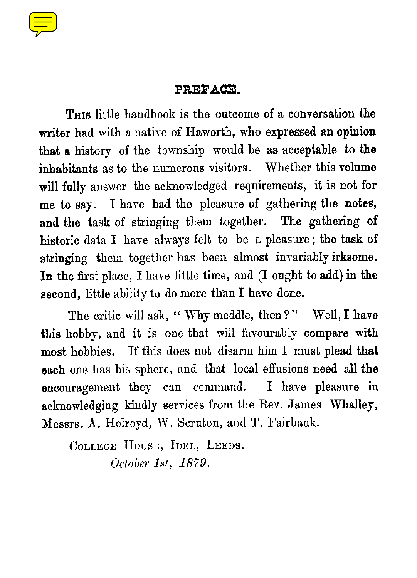

### **PREFACE.**

**THIS** little handbook is the outcome of a conversation **the** writer had with a native of Haworth, who expressed an **opinion that** a history of the township would be as acceptable to **the** inhabitants as to the numerous visitors. Whether this volume will fully answer the acknowledged requirements, it is not for me to say. I have had the pleasure of gathering the notes, and the task of stringing them together. The gathering of historic data I have always felt to be a pleasure ; the task of stringing them together has been almost invariably irksome. **In** the first place, I have little time, and (I ought to add) in the second, little ability to do more than I have done.

The critic will ask, " Why meddle, then?" Well, **I have** this hobby, and it is one that will favourably compare with most hobbies. If this does not disarm him I must plead that each one has his sphere, and that local effusions need all **the** encouragement they can command. I have pleasure in acknowledging kindly services from the Rev. James Whalley. Messrs. A. Holroyd, W. Scruton, and T. Fairbank.

COLLEGE HOUSE, IDEL, LEEDS. October 1st, 1879.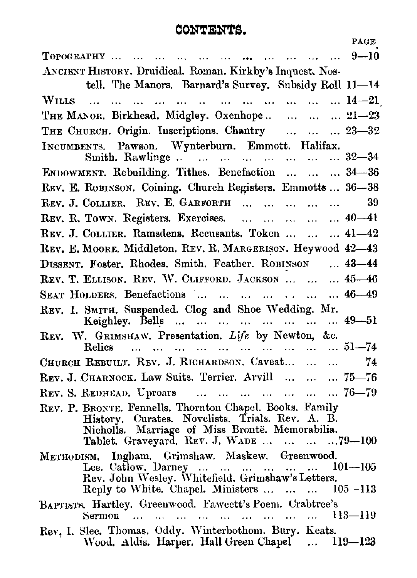# **CONTENTS.**

|                                                                                                    | PAGE        |  |  |
|----------------------------------------------------------------------------------------------------|-------------|--|--|
|                                                                                                    |             |  |  |
| ANCIENT HISTORY. Druidical. Roman. Kirkby's Inquest. Nos-                                          |             |  |  |
| tell. The Manors. Barnard's Survey. Subsidy Roll 11-14                                             |             |  |  |
|                                                                                                    |             |  |  |
| THE MANOR. Birkhead. Midgley. Oxenhope 21-23                                                       |             |  |  |
| THE CHURCH. Origin. Inscriptions. Chantry    23-32                                                 |             |  |  |
| INCUMBENTS. Pawson. Wynterburn. Emmott. Halifax.                                                   |             |  |  |
| Smith. Rawlinge        32-34                                                                       |             |  |  |
| ENDOWMENT. Rebuilding. Tithes. Benefaction    34-36                                                |             |  |  |
| REV. E. ROBINSON. Coining. Church Registers. Emmotts  36-38                                        |             |  |  |
| REV. J. COLLIER. REV. E. GARFORTH                                                                  | 39          |  |  |
| REV. R. TOWN. Registers. Exercises.      40-41                                                     |             |  |  |
| REV. J. COLLIER. Ramsdens. Recusants. Token    41-42                                               |             |  |  |
| REV. E. MOORE, Middleton, REV. R. MARGERISON. Heywood 42-43                                        |             |  |  |
| DISSENT. Foster, Rhodes, Smith. Feather. ROBINSON  43-44                                           |             |  |  |
| REV. T. ELLISON. REV. W. CLIFFORD. JACKSON    45-46                                                |             |  |  |
| SEAT HOLDERS. Benefactions        46-49                                                            |             |  |  |
| REV. I. SMITH. Suspended. Clog and Shoe Wedding. Mr.<br>Keighley. Bells         49-51              |             |  |  |
| REV. W. GRIMSHAW. Presentation. Life by Newton, &c.                                                |             |  |  |
| Relics          51-74                                                                              |             |  |  |
| CHURCH REBUILT. REV. J. RICHARDSON. Caveat                                                         | 74          |  |  |
| REV. J. CHARNOCK. Law Suits. Terrier. Arvill    75-76                                              |             |  |  |
| REV. S. REDHEAD. Uproars        76-79                                                              |             |  |  |
| REV. P. BRONTE. Fennells. Thornton Chapel. Books. Family                                           |             |  |  |
| History, Curates. Novelists, Trials. Rev. A. B.<br>Nicholls. Marriage of Miss Brontë. Memorabilia. |             |  |  |
| Tablet. Graveyard. REV. J. WADE    79-100                                                          |             |  |  |
| METHODISM. Ingham. Grimshaw. Maskew. Greenwood.                                                    |             |  |  |
| Lee. Catlow. Darney       1<br>Rev. John Wesley. Whitefield. Grimshaw's Letters.                   | $101 - 105$ |  |  |
| Reply to White. Chapel. Ministers    105-113                                                       |             |  |  |
| BAPTISTS, Hartley, Greenwood, Fawcett's Poem. Crabtree's                                           |             |  |  |
| Sermon          113-119                                                                            |             |  |  |
| Rev, I. Slee. Thomas. Oddy. Winterbothom. Bury. Keats.                                             |             |  |  |
| Wood. Aldis. Harper. Hall Green Chapel  119-123                                                    |             |  |  |